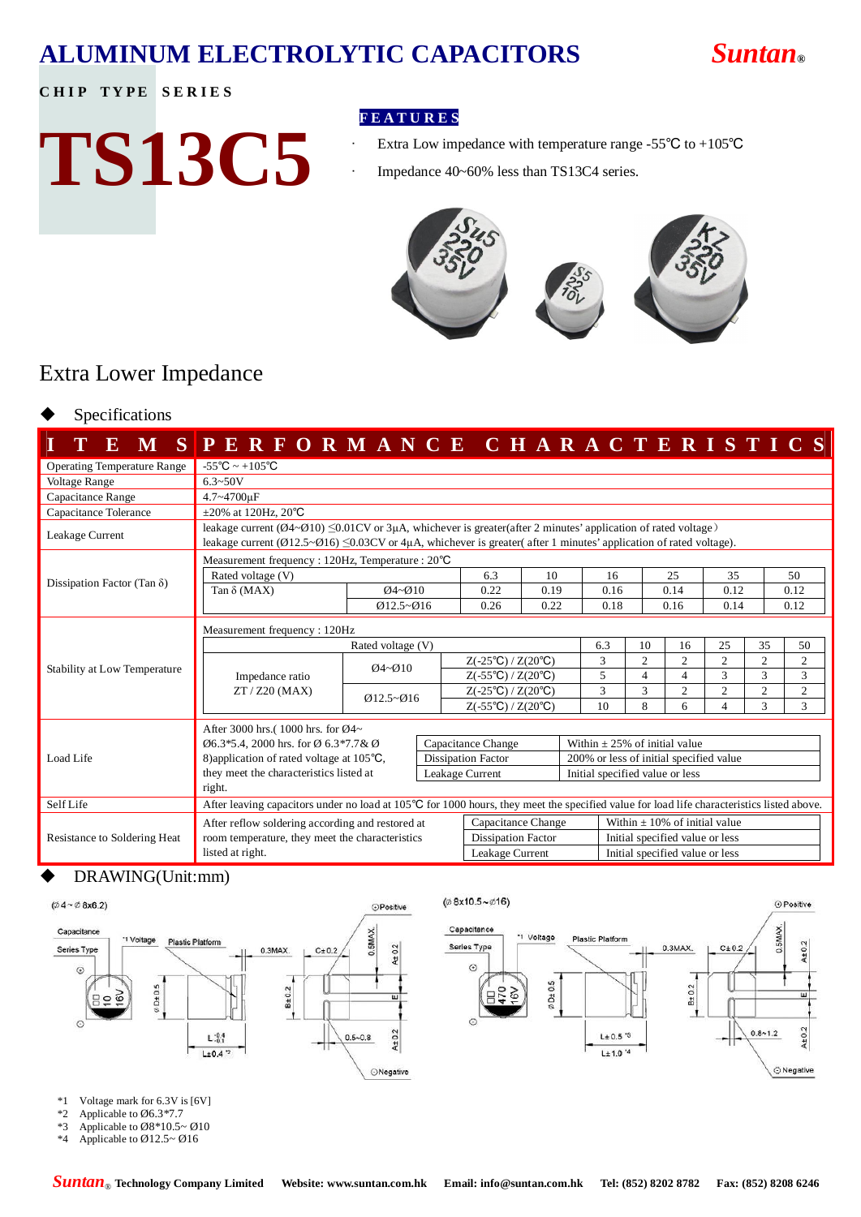## **ALUMINUM ELECTROLYTIC CAPACITORS** *Suntan***®**

⊕ Positive

 $40.2$ 

⊙ Negative

### **CHIP TYPE SERIES**

# **TS13C5**

### **F E A T U R E S**

- Extra Low impedance with temperature range -55℃ to +105℃
- Impedance 40~60% less than TS13C4 series.



### Extra Lower Impedance

### Specifications

| ${\bf E}$<br>M                      | PERFORMANCE CHARACTERISTICS                                                                                                                                                                                                                                                                   |                    |  |                                                |                                 |    |                                         |                |                                 |                          |                |                |  |  |
|-------------------------------------|-----------------------------------------------------------------------------------------------------------------------------------------------------------------------------------------------------------------------------------------------------------------------------------------------|--------------------|--|------------------------------------------------|---------------------------------|----|-----------------------------------------|----------------|---------------------------------|--------------------------|----------------|----------------|--|--|
| <b>Operating Temperature Range</b>  | $-55^{\circ}$ C ~ $+105^{\circ}$ C                                                                                                                                                                                                                                                            |                    |  |                                                |                                 |    |                                         |                |                                 |                          |                |                |  |  |
| Voltage Range                       | $6.3 - 50V$                                                                                                                                                                                                                                                                                   |                    |  |                                                |                                 |    |                                         |                |                                 |                          |                |                |  |  |
| Capacitance Range                   | 4.7~4700uF                                                                                                                                                                                                                                                                                    |                    |  |                                                |                                 |    |                                         |                |                                 |                          |                |                |  |  |
| Capacitance Tolerance               | $\pm 20\%$ at 120Hz, 20°C                                                                                                                                                                                                                                                                     |                    |  |                                                |                                 |    |                                         |                |                                 |                          |                |                |  |  |
| Leakage Current                     | leakage current ( $\emptyset$ 4~ $\emptyset$ 10) $\leq$ 0.01CV or 3µA, whichever is greater(after 2 minutes' application of rated voltage)<br>leakage current ( $\emptyset$ 12.5~ $\emptyset$ 16) $\leq$ 0.03CV or 4µA, whichever is greater( after 1 minutes' application of rated voltage). |                    |  |                                                |                                 |    |                                         |                |                                 |                          |                |                |  |  |
|                                     | Measurement frequency : 120Hz, Temperature : 20°C                                                                                                                                                                                                                                             |                    |  |                                                |                                 |    |                                         |                |                                 |                          |                |                |  |  |
|                                     | Rated voltage (V)                                                                                                                                                                                                                                                                             |                    |  | 6.3                                            | 10                              |    | 16                                      |                | 25                              | 35                       |                | 50             |  |  |
| Dissipation Factor (Tan $\delta$ )  | Tan $\delta$ (MAX)                                                                                                                                                                                                                                                                            | $Q4 - Q10$         |  | 0.22                                           | 0.19                            |    | 0.16                                    |                | 0.14                            | 0.12                     |                | 0.12           |  |  |
|                                     |                                                                                                                                                                                                                                                                                               | $Q12.5 - Q16$      |  | 0.26                                           | 0.22                            |    | 0.18                                    |                | 0.16                            | 0.14                     |                | 0.12           |  |  |
|                                     | Measurement frequency: 120Hz                                                                                                                                                                                                                                                                  |                    |  |                                                |                                 |    |                                         |                |                                 |                          |                |                |  |  |
|                                     |                                                                                                                                                                                                                                                                                               |                    |  |                                                | 6.3                             | 10 | 16                                      | 25             | 35                              | 50                       |                |                |  |  |
| Stability at Low Temperature        |                                                                                                                                                                                                                                                                                               | $Q4 - Q10$         |  | $Z(-25^{\circ}\text{C})/Z(20^{\circ}\text{C})$ |                                 |    | 3                                       | $\overline{c}$ | $\overline{2}$                  | $\overline{c}$           | $\overline{c}$ | $\overline{2}$ |  |  |
|                                     | Impedance ratio<br>$ZT / Z20$ (MAX)                                                                                                                                                                                                                                                           |                    |  | $Z(-55^{\circ}\text{C})/Z(20^{\circ}\text{C})$ |                                 |    | 5                                       | $\overline{4}$ | 4                               | 3                        | 3              | 3              |  |  |
|                                     |                                                                                                                                                                                                                                                                                               | $Q12.5 - Q16$      |  | $Z(-25^{\circ}\text{C})/Z(20^{\circ}\text{C})$ |                                 |    | 3                                       | 3              | 2                               | $\overline{c}$           | $\overline{2}$ | $\overline{2}$ |  |  |
|                                     |                                                                                                                                                                                                                                                                                               |                    |  | $Z(-55^{\circ}C)/Z(20^{\circ}C)$               |                                 |    | 10                                      | 8              | 6                               | $\overline{\mathcal{L}}$ | 3              | 3              |  |  |
|                                     | After 3000 hrs.(1000 hrs. for Ø4~                                                                                                                                                                                                                                                             |                    |  |                                                |                                 |    |                                         |                |                                 |                          |                |                |  |  |
|                                     | $\emptyset$ 6.3*5.4, 2000 hrs. for Ø 6.3*7.7& Ø                                                                                                                                                                                                                                               |                    |  | Capacitance Change                             |                                 |    | Within $\pm$ 25% of initial value       |                |                                 |                          |                |                |  |  |
| Load Life                           | 8) application of rated voltage at 105°C,                                                                                                                                                                                                                                                     |                    |  | <b>Dissipation Factor</b>                      |                                 |    | 200% or less of initial specified value |                |                                 |                          |                |                |  |  |
|                                     | they meet the characteristics listed at                                                                                                                                                                                                                                                       | Leakage Current    |  |                                                |                                 |    | Initial specified value or less         |                |                                 |                          |                |                |  |  |
|                                     | right.                                                                                                                                                                                                                                                                                        |                    |  |                                                |                                 |    |                                         |                |                                 |                          |                |                |  |  |
| Self Life                           | After leaving capacitors under no load at 105°C for 1000 hours, they meet the specified value for load life characteristics listed above.                                                                                                                                                     |                    |  |                                                |                                 |    |                                         |                |                                 |                          |                |                |  |  |
|                                     | After reflow soldering according and restored at                                                                                                                                                                                                                                              | Capacitance Change |  |                                                | Within $+10\%$ of initial value |    |                                         |                |                                 |                          |                |                |  |  |
| <b>Resistance to Soldering Heat</b> | room temperature, they meet the characteristics                                                                                                                                                                                                                                               |                    |  | <b>Dissipation Factor</b>                      |                                 |    |                                         |                | Initial specified value or less |                          |                |                |  |  |
|                                     | listed at right.                                                                                                                                                                                                                                                                              | Leakage Current    |  |                                                | Initial specified value or less |    |                                         |                |                                 |                          |                |                |  |  |

### DRAWING(Unit:mm)



- \*1 Voltage mark for 6.3V is [6V]
- \*2 Applicable to Ø6.3\*7.7
- \*3 Applicable to  $\varnothing$ 8 \* 10.5~  $\varnothing$ 10<br>\*4 Applicable to  $\varnothing$ 12.5~  $\varnothing$ 16
- Applicable to  $\varnothing$ 12.5~  $\varnothing$ 16

1 Voltage

 $\phi$ D±0.5

**Plastic Platform** 

 $L± 0.5<sup>-3</sup>$ 

 $L±1.0<sup>-4</sup>$ 

 $0.3MAX.$ 

 $B \pm 0.2$ 

 $C + 0.2$ 

 $0.8 - 1.2$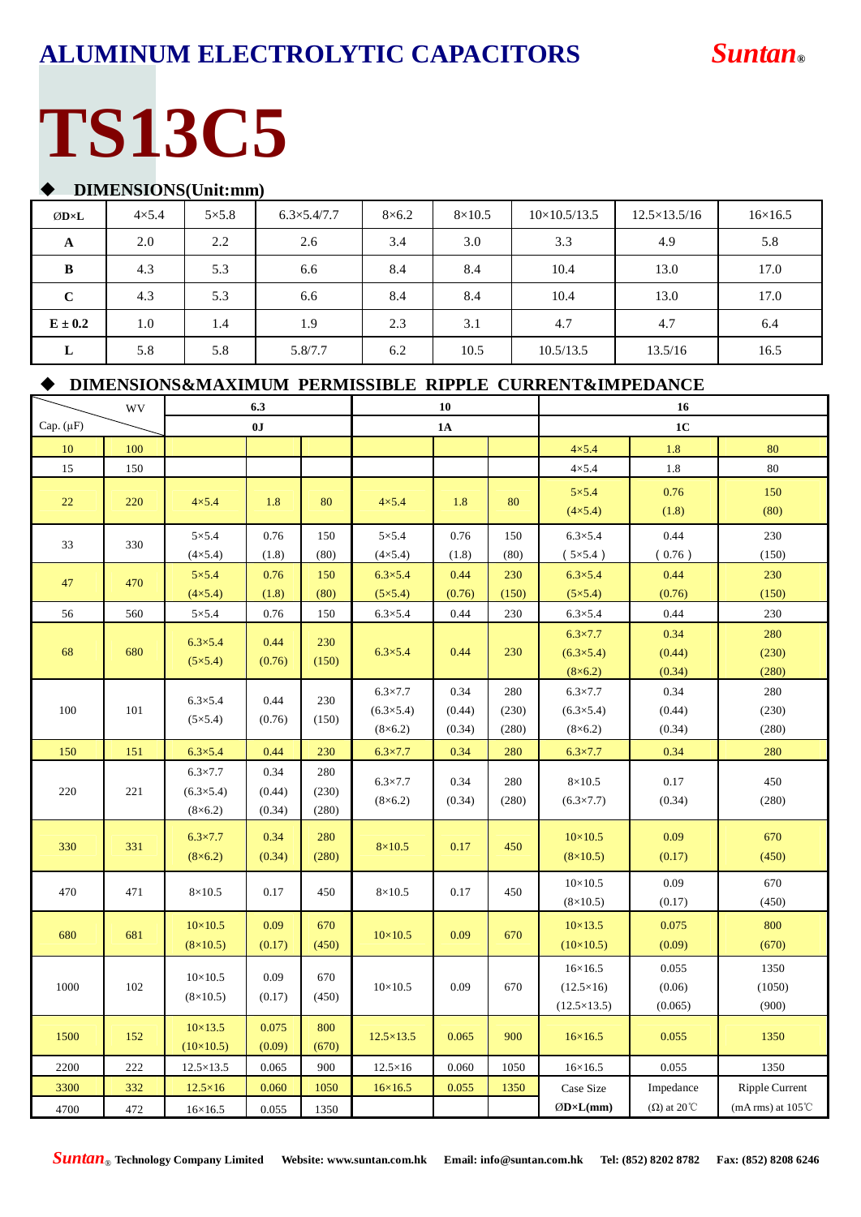## **ALUMINUM ELECTROLYTIC CAPACITORS** *Suntan***®**

# **TS13C5**

### u **DIMENSIONS(Unit:mm)**

| ØD×L        | $4\times5.4$ | $5\times5.8$ | $6.3\times5.4/7.7$ | $8\times 6.2$ | $8\times10.5$ | $10\times10.5/13.5$ | $12.5\times13.5/16$ | $16\times 16.5$ |
|-------------|--------------|--------------|--------------------|---------------|---------------|---------------------|---------------------|-----------------|
| A           | 2.0          | 2.2          | 2.6                | 3.4           | 3.0           | 3.3                 | 4.9                 | 5.8             |
| B           | 4.3          | 5.3          | 6.6                | 8.4           | 8.4           | 10.4                | 13.0                | 17.0            |
| $\mathbf C$ | 4.3          | 5.3          | 6.6                | 8.4           | 8.4           | 10.4                | 13.0                | 17.0            |
| $E \pm 0.2$ | 1.0          | 1.4          | 1.9                | 2.3           | 3.1           | 4.7                 | 4.7                 | 6.4             |
| L           | 5.8          | 5.8          | 5.8/7.7            | 6.2           | 10.5          | 10.5/13.5           | 13.5/16             | 16.5            |

### $\blacklozenge$  **DIMENSIONS&MAXIMUM PERMISSIBLE RIPPLE CURRENT&IMPEDANCE**

|                | WV  | 6.3                                                    |                          |                       | 10                                                     |                          |                       | 16                                                        |                            |                             |  |
|----------------|-----|--------------------------------------------------------|--------------------------|-----------------------|--------------------------------------------------------|--------------------------|-----------------------|-----------------------------------------------------------|----------------------------|-----------------------------|--|
| Cap. $(\mu F)$ |     |                                                        | 0J                       |                       |                                                        | 1A                       |                       |                                                           | 1 <sub>C</sub>             |                             |  |
| 10             | 100 |                                                        |                          |                       |                                                        |                          |                       | $4\times5.4$                                              | 1.8                        | 80                          |  |
| 15             | 150 |                                                        |                          |                       |                                                        |                          |                       | $4\times5.4$                                              | 1.8                        | 80                          |  |
| 22             | 220 | $4\times5.4$                                           | 1.8                      | 80                    | $4\times5.4$                                           | 1.8                      | 80                    | $5\times5.4$<br>$(4\times5.4)$                            | 0.76<br>(1.8)              | 150<br>(80)                 |  |
| 33             | 330 | $5\times5.4$<br>$(4 \times 5.4)$                       | 0.76<br>(1.8)            | 150<br>(80)           | $5\times5.4$<br>$(4 \times 5.4)$                       | 0.76<br>(1.8)            | 150<br>(80)           | $6.3\times5.4$<br>$(5\times5.4)$                          | 0.44<br>(0.76)             | 230<br>(150)                |  |
| 47             | 470 | $5\times5.4$<br>$(4\times5.4)$                         | 0.76<br>(1.8)            | 150<br>(80)           | $6.3\times5.4$<br>$(5\times5.4)$                       | 0.44<br>(0.76)           | 230<br>(150)          | $6.3\times5.4$<br>$(5\times5.4)$                          | 0.44<br>(0.76)             | 230<br>(150)                |  |
| 56             | 560 | $5\times5.4$                                           | 0.76                     | 150                   | $6.3\times5.4$                                         | 0.44                     | 230                   | $6.3\times5.4$                                            | 0.44                       | 230                         |  |
| 68             | 680 | $6.3 \times 5.4$<br>$(5\times5.4)$                     | 0.44<br>(0.76)           | 230<br>(150)          | $6.3\times5.4$                                         | 0.44                     | 230                   | $6.3 \times 7.7$<br>$(6.3\times5.4)$<br>$(8\times6.2)$    | 0.34<br>(0.44)<br>(0.34)   | 280<br>(230)<br>(280)       |  |
| 100            | 101 | $6.3 \times 5.4$<br>$(5\times5.4)$                     | 0.44<br>(0.76)           | 230<br>(150)          | $6.3 \times 7.7$<br>$(6.3\times5.4)$<br>$(8\times6.2)$ | 0.34<br>(0.44)<br>(0.34) | 280<br>(230)<br>(280) | $6.3 \times 7.7$<br>$(6.3\times5.4)$<br>$(8\times6.2)$    | 0.34<br>(0.44)<br>(0.34)   | 280<br>(230)<br>(280)       |  |
| 150            | 151 | $6.3 \times 5.4$                                       | 0.44                     | 230                   | $6.3 \times 7.7$                                       | 0.34                     | 280                   | $6.3 \times 7.7$                                          | 0.34                       | 280                         |  |
| 220            | 221 | $6.3 \times 7.7$<br>$(6.3\times5.4)$<br>$(8\times6.2)$ | 0.34<br>(0.44)<br>(0.34) | 280<br>(230)<br>(280) | $6.3 \times 7.7$<br>$(8\times6.2)$                     | 0.34<br>(0.34)           | 280<br>(280)          | $8\times10.5$<br>$(6.3 \times 7.7)$                       | 0.17<br>(0.34)             | 450<br>(280)                |  |
| 330            | 331 | $6.3 \times 7.7$<br>$(8\times6.2)$                     | 0.34<br>(0.34)           | 280<br>(280)          | $8\times10.5$                                          | 0.17                     | 450                   | $10\times 10.5$<br>$(8\times10.5)$                        | 0.09<br>(0.17)             | 670<br>(450)                |  |
| 470            | 471 | $8\times10.5$                                          | 0.17                     | 450                   | $8\times10.5$                                          | 0.17                     | 450                   | $10\times 10.5$<br>$(8\times10.5)$                        | 0.09<br>(0.17)             | 670<br>(450)                |  |
| 680            | 681 | $10\times 10.5$<br>$(8\times10.5)$                     | 0.09<br>(0.17)           | 670<br>(450)          | $10\times 10.5$                                        | 0.09                     | 670                   | $10 \times 13.5$<br>$(10\times10.5)$                      | 0.075<br>(0.09)            | 800<br>(670)                |  |
| 1000           | 102 | $10\times 10.5$<br>$(8\times10.5)$                     | 0.09<br>(0.17)           | 670<br>(450)          | $10\times 10.5$                                        | 0.09                     | 670                   | $16\times 16.5$<br>$(12.5\times16)$<br>$(12.5\times13.5)$ | 0.055<br>(0.06)<br>(0.065) | 1350<br>(1050)<br>(900)     |  |
| 1500           | 152 | $10 \times 13.5$<br>$(10\times10.5)$                   | 0.075<br>(0.09)          | 800<br>(670)          | $12.5 \times 13.5$                                     | 0.065                    | 900                   | $16\times 16.5$                                           | 0.055                      | 1350                        |  |
| 2200           | 222 | $12.5 \times 13.5$                                     | 0.065                    | 900                   | $12.5\times16$                                         | 0.060                    | 1050                  | $16 \times 16.5$                                          | 0.055                      | 1350                        |  |
| 3300           | 332 | $12.5\times16$                                         | 0.060                    | 1050                  | $16\times 16.5$                                        | 0.055                    | 1350                  | Case Size                                                 | Impedance                  | <b>Ripple Current</b>       |  |
| 4700           | 472 | $16 \times 16.5$                                       | 0.055                    | 1350                  |                                                        |                          |                       | $ØD\times L(mm)$                                          | $(\Omega)$ at 20 °C        | (mA rms) at $105^{\circ}$ C |  |